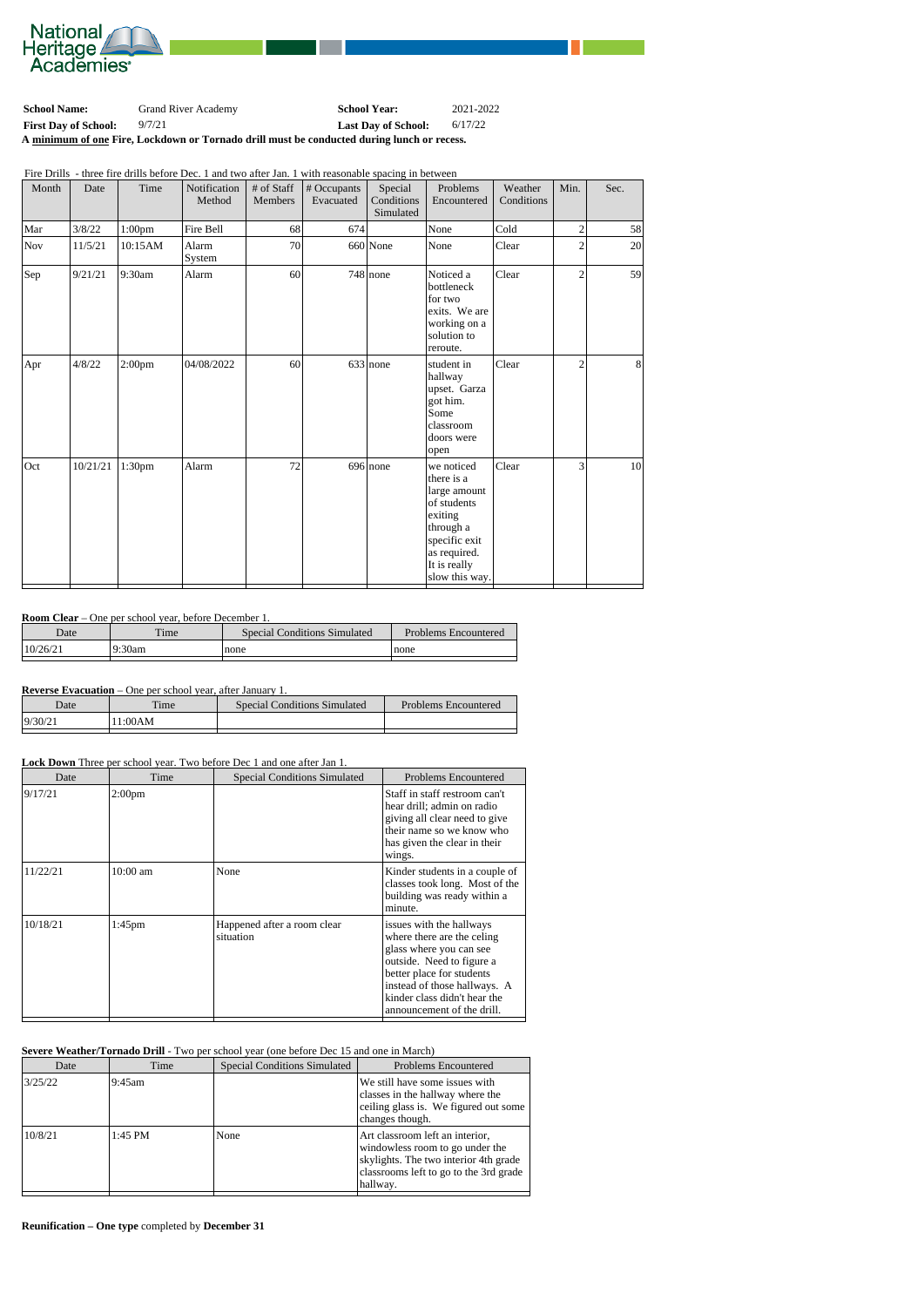

| <b>School Name:</b>                                                                        | <b>Grand River Academy</b> | <b>School Year:</b>        | 2021-2022 |  |  |
|--------------------------------------------------------------------------------------------|----------------------------|----------------------------|-----------|--|--|
| <b>First Day of School:</b>                                                                | 9/7/21                     | <b>Last Day of School:</b> | 6/17/22   |  |  |
| A minimum of one Fire, Lockdown or Tornado drill must be conducted during lunch or recess. |                            |                            |           |  |  |

Fire Drills - three fire drills before Dec. 1 and two after Jan. 1 with reasonable spacing in between

| Month | Date     | Time      | Notification<br>Method | # of Staff<br>Members | # Occupants<br>Evacuated | Special<br>Conditions<br>Simulated | Problems<br>Encountered                                                                                                                            | Weather<br>Conditions | Min.             | Sec.            |
|-------|----------|-----------|------------------------|-----------------------|--------------------------|------------------------------------|----------------------------------------------------------------------------------------------------------------------------------------------------|-----------------------|------------------|-----------------|
| Mar   | 3/8/22   | $1:00$ pm | Fire Bell              | 68                    | 674                      |                                    | None                                                                                                                                               | Cold                  | $\left 2\right $ | 58              |
| Nov   | 11/5/21  | 10:15AM   | Alarm<br>System        | 70                    |                          | $660$ None                         | None                                                                                                                                               | Clear                 | $\overline{2}$   | 20              |
| Sep   | 9/21/21  | 9:30am    | Alarm                  | 60                    |                          | $748$ none                         | Noticed a<br>bottleneck<br>for two<br>exits. We are<br>working on a<br>solution to<br>reroute.                                                     | Clear                 | $\overline{2}$   | 59              |
| Apr   | 4/8/22   | $2:00$ pm | 04/08/2022             | 60                    |                          | 633 none                           | student in<br>hallway<br>upset. Garza<br>got him.<br>Some<br>classroom<br>doors were<br>open                                                       | Clear                 | $\overline{2}$   | 8               |
| Oct   | 10/21/21 | 1:30pm    | Alarm                  | 72                    |                          | $696$ none                         | we noticed<br>there is a<br>large amount<br>of students<br>exiting<br>through a<br>specific exit<br>as required.<br>It is really<br>slow this way. | Clear                 | 3                | 10 <sup>1</sup> |

## **Room Clear** – One per school year, before December 1.

| Date      | $\mathbf{m}$<br>ime | <b>Special Conditions Simulated</b> | Problems Encountered |
|-----------|---------------------|-------------------------------------|----------------------|
| 110/26/21 | 9:30am<br>Q٠        | none                                | none                 |
|           |                     |                                     |                      |

## **Reverse Evacuation** – One per school year, after January 1.

| Date    | m.<br>ime. | Special Conditions Simulated | Problems Encountered |
|---------|------------|------------------------------|----------------------|
| 9/30/21 | 11:00AM    |                              |                      |

## **Lock Down** Three per school year. Two before Dec 1 and one after Jan 1.

| Date     |                    | Time | <b>Special Conditions Simulated</b>      | <b>Problems Encountered</b>                                                                                                                                                                                                               |
|----------|--------------------|------|------------------------------------------|-------------------------------------------------------------------------------------------------------------------------------------------------------------------------------------------------------------------------------------------|
| 9/17/21  | 2:00 <sub>pm</sub> |      |                                          | Staff in staff restroom can't<br>hear drill; admin on radio<br>giving all clear need to give<br>their name so we know who<br>has given the clear in their<br>wings.                                                                       |
| 11/22/21 | $10:00$ am         |      | None                                     | Kinder students in a couple of<br>classes took long. Most of the<br>building was ready within a<br>minute.                                                                                                                                |
| 10/18/21 | $1:45$ pm          |      | Happened after a room clear<br>situation | issues with the hallways<br>where there are the celing<br>glass where you can see<br>outside. Need to figure a<br>better place for students<br>instead of those hallways. A<br>kinder class didn't hear the<br>announcement of the drill. |

## **Severe Weather/Tornado Drill** - Two per school year (one before Dec 15 and one in March)

| Date    | Time      | <b>Special Conditions Simulated</b> | <b>Problems Encountered</b>                                                                                                                                       |
|---------|-----------|-------------------------------------|-------------------------------------------------------------------------------------------------------------------------------------------------------------------|
| 3/25/22 | $9:45$ am |                                     | We still have some issues with<br>classes in the hallway where the<br>ceiling glass is. We figured out some<br>changes though.                                    |
| 10/8/21 | 1:45 PM   | None                                | Art classroom left an interior,<br>windowless room to go under the<br>skylights. The two interior 4th grade<br>classrooms left to go to the 3rd grade<br>hallway. |

**Reunification – One type** completed by **December 31**